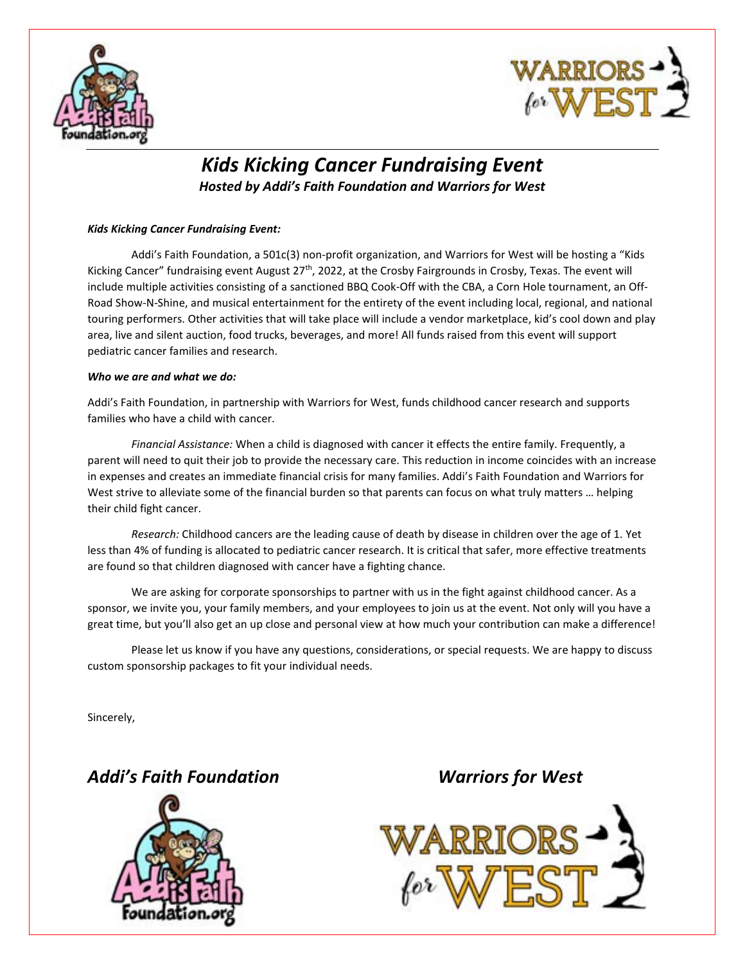



## *Kids Kicking Cancer Fundraising Event*

*Hosted by Addi's Faith Foundation and Warriors for West* 

## *Kids Kicking Cancer Fundraising Event:*

Addi's Faith Foundation, a 501c(3) non-profit organization, and Warriors for West will be hosting a "Kids Kicking Cancer" fundraising event August 27<sup>th</sup>, 2022, at the Crosby Fairgrounds in Crosby, Texas. The event will include multiple activities consisting of a sanctioned BBQ Cook-Off with the CBA, a Corn Hole tournament, an Off-Road Show-N-Shine, and musical entertainment for the entirety of the event including local, regional, and national touring performers. Other activities that will take place will include a vendor marketplace, kid's cool down and play area, live and silent auction, food trucks, beverages, and more! All funds raised from this event will support pediatric cancer families and research.

## *Who we are and what we do:*

Addi's Faith Foundation, in partnership with Warriors for West, funds childhood cancer research and supports families who have a child with cancer.

*Financial Assistance:* When a child is diagnosed with cancer it effects the entire family. Frequently, a parent will need to quit their job to provide the necessary care. This reduction in income coincides with an increase in expenses and creates an immediate financial crisis for many families. Addi's Faith Foundation and Warriors for West strive to alleviate some of the financial burden so that parents can focus on what truly matters … helping their child fight cancer.

*Research:* Childhood cancers are the leading cause of death by disease in children over the age of 1. Yet less than 4% of funding is allocated to pediatric cancer research. It is critical that safer, more effective treatments are found so that children diagnosed with cancer have a fighting chance.

We are asking for corporate sponsorships to partner with us in the fight against childhood cancer. As a sponsor, we invite you, your family members, and your employees to join us at the event. Not only will you have a great time, but you'll also get an up close and personal view at how much your contribution can make a difference!

Please let us know if you have any questions, considerations, or special requests. We are happy to discuss custom sponsorship packages to fit your individual needs.

Sincerely,

*Addi's Faith Foundation Warriors for West*